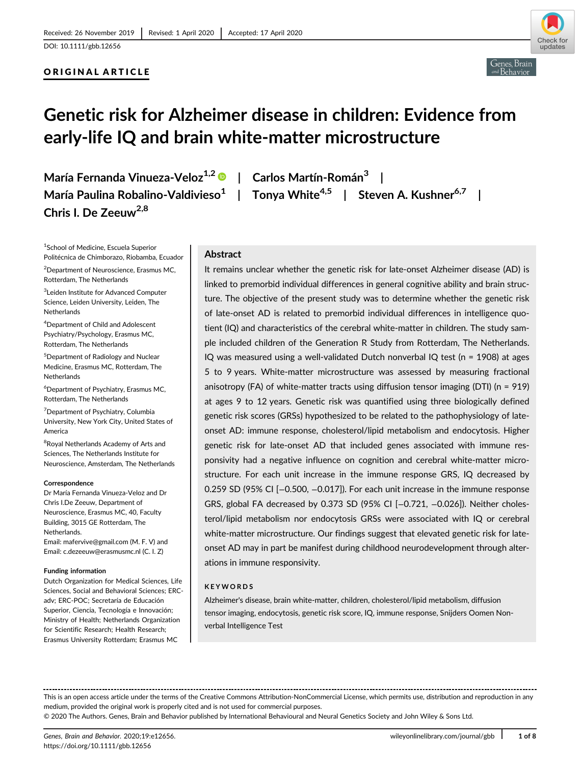# ORIGINAL ARTICLE



 $shatrix$ 

# Genetic risk for Alzheimer disease in children: Evidence from early-life IQ and brain white-matter microstructure

María Fernanda Vinueza-Veloz<sup>1,2</sup>  $\bullet$  | Carlos Martín-Román<sup>3</sup> | María Paulina Robalino-Valdivieso<sup>1</sup> | Tonya White<sup>4,5</sup> | Steven A. Kushner<sup>6,7</sup> | Chris I. De Zeeuw<sup>2,8</sup>

1 School of Medicine, Escuela Superior Politécnica de Chimborazo, Riobamba, Ecuador

2 Department of Neuroscience, Erasmus MC, Rotterdam, The Netherlands

3 Leiden Institute for Advanced Computer Science, Leiden University, Leiden, The **Netherlands** 

4 Department of Child and Adolescent Psychiatry/Psychology, Erasmus MC, Rotterdam, The Netherlands

5 Department of Radiology and Nuclear Medicine, Erasmus MC, Rotterdam, The **Netherlands** 

6 Department of Psychiatry, Erasmus MC, Rotterdam, The Netherlands

<sup>7</sup> Department of Psychiatry, Columbia University, New York City, United States of America

<sup>8</sup>Royal Netherlands Academy of Arts and Sciences, The Netherlands Institute for Neuroscience, Amsterdam, The Netherlands

#### **Correspondence**

Dr María Fernanda Vinueza-Veloz and Dr Chris I.De Zeeuw, Department of Neuroscience, Erasmus MC, 40, Faculty Building, 3015 GE Rotterdam, The Netherlands. Email: [mafervive@gmail.com](mailto:mafervive@gmail.com) (M. F. V) and Email: [c.dezeeuw@erasmusmc.nl](mailto:c.dezeeuw@erasmusmc.nl) (C. I. Z)

#### Funding information

Dutch Organization for Medical Sciences, Life Sciences, Social and Behavioral Sciences; ERCadv; ERC-POC; Secretaría de Educación Superior, Ciencia, Tecnología e Innovación; Ministry of Health; Netherlands Organization for Scientific Research; Health Research; Erasmus University Rotterdam; Erasmus MC

## Abstract

It remains unclear whether the genetic risk for late-onset Alzheimer disease (AD) is linked to premorbid individual differences in general cognitive ability and brain structure. The objective of the present study was to determine whether the genetic risk of late-onset AD is related to premorbid individual differences in intelligence quotient (IQ) and characteristics of the cerebral white-matter in children. The study sample included children of the Generation R Study from Rotterdam, The Netherlands. IQ was measured using a well-validated Dutch nonverbal IQ test (n = 1908) at ages 5 to 9 years. White-matter microstructure was assessed by measuring fractional anisotropy (FA) of white-matter tracts using diffusion tensor imaging (DTI) (n = 919) at ages 9 to 12 years. Genetic risk was quantified using three biologically defined genetic risk scores (GRSs) hypothesized to be related to the pathophysiology of lateonset AD: immune response, cholesterol/lipid metabolism and endocytosis. Higher genetic risk for late-onset AD that included genes associated with immune responsivity had a negative influence on cognition and cerebral white-matter microstructure. For each unit increase in the immune response GRS, IQ decreased by 0.259 SD (95% CI [−0.500, −0.017]). For each unit increase in the immune response GRS, global FA decreased by 0.373 SD (95% CI [-0.721, -0.026]). Neither cholesterol/lipid metabolism nor endocytosis GRSs were associated with IQ or cerebral white-matter microstructure. Our findings suggest that elevated genetic risk for lateonset AD may in part be manifest during childhood neurodevelopment through alterations in immune responsivity.

#### KEYWORDS

Alzheimer's disease, brain white-matter, children, cholesterol/lipid metabolism, diffusion tensor imaging, endocytosis, genetic risk score, IQ, immune response, Snijders Oomen Nonverbal Intelligence Test

This is an open access article under the terms of the [Creative Commons Attribution-NonCommercial](http://creativecommons.org/licenses/by-nc/4.0/) License, which permits use, distribution and reproduction in any medium, provided the original work is properly cited and is not used for commercial purposes.

© 2020 The Authors. Genes, Brain and Behavior published by International Behavioural and Neural Genetics Society and John Wiley & Sons Ltd.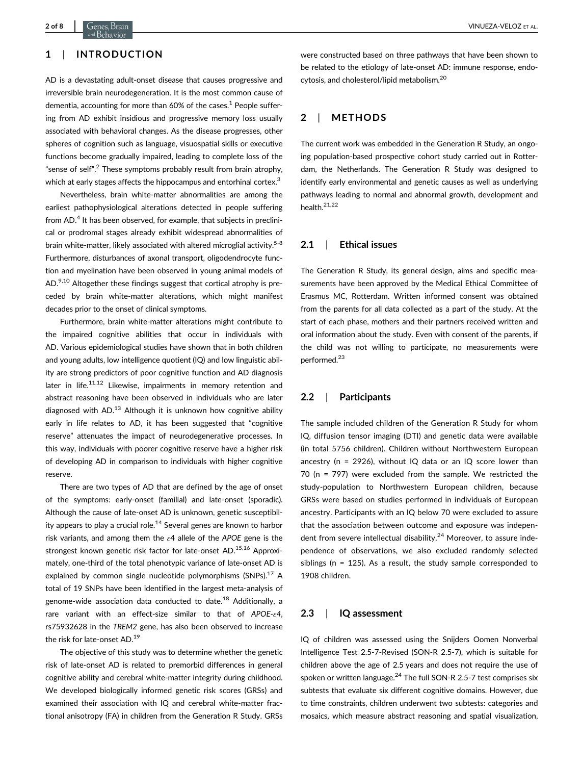# 1 | INTRODUCTION

AD is a devastating adult-onset disease that causes progressive and irreversible brain neurodegeneration. It is the most common cause of dementia, accounting for more than  $60\%$  of the cases.<sup>1</sup> People suffering from AD exhibit insidious and progressive memory loss usually associated with behavioral changes. As the disease progresses, other spheres of cognition such as language, visuospatial skills or executive functions become gradually impaired, leading to complete loss of the "sense of self".<sup>2</sup> These symptoms probably result from brain atrophy, which at early stages affects the hippocampus and entorhinal cortex.<sup>3</sup>

Nevertheless, brain white-matter abnormalities are among the earliest pathophysiological alterations detected in people suffering from AD.4 It has been observed, for example, that subjects in preclinical or prodromal stages already exhibit widespread abnormalities of brain white-matter, likely associated with altered microglial activity.<sup>5-8</sup> Furthermore, disturbances of axonal transport, oligodendrocyte function and myelination have been observed in young animal models of AD.<sup>9,10</sup> Altogether these findings suggest that cortical atrophy is preceded by brain white-matter alterations, which might manifest decades prior to the onset of clinical symptoms.

Furthermore, brain white-matter alterations might contribute to the impaired cognitive abilities that occur in individuals with AD. Various epidemiological studies have shown that in both children and young adults, low intelligence quotient (IQ) and low linguistic ability are strong predictors of poor cognitive function and AD diagnosis later in life.<sup>11,12</sup> Likewise, impairments in memory retention and abstract reasoning have been observed in individuals who are later diagnosed with  $AD<sup>13</sup>$  Although it is unknown how cognitive ability early in life relates to AD, it has been suggested that "cognitive reserve" attenuates the impact of neurodegenerative processes. In this way, individuals with poorer cognitive reserve have a higher risk of developing AD in comparison to individuals with higher cognitive reserve.

There are two types of AD that are defined by the age of onset of the symptoms: early-onset (familial) and late-onset (sporadic). Although the cause of late-onset AD is unknown, genetic susceptibility appears to play a crucial role.<sup>14</sup> Several genes are known to harbor risk variants, and among them the  $\varepsilon$ 4 allele of the APOE gene is the strongest known genetic risk factor for late-onset AD.<sup>15,16</sup> Approximately, one-third of the total phenotypic variance of late-onset AD is explained by common single nucleotide polymorphisms (SNPs).<sup>17</sup> A total of 19 SNPs have been identified in the largest meta-analysis of genome-wide association data conducted to date. $^{18}$  Additionally, a rare variant with an effect-size similar to that of  $APOE-e4$ , rs75932628 in the TREM2 gene, has also been observed to increase the risk for late-onset AD.19

The objective of this study was to determine whether the genetic risk of late-onset AD is related to premorbid differences in general cognitive ability and cerebral white-matter integrity during childhood. We developed biologically informed genetic risk scores (GRSs) and examined their association with IQ and cerebral white-matter fractional anisotropy (FA) in children from the Generation R Study. GRSs were constructed based on three pathways that have been shown to be related to the etiology of late-onset AD: immune response, endocytosis, and cholesterol/lipid metabolism.20

# 2 | METHODS

The current work was embedded in the Generation R Study, an ongoing population-based prospective cohort study carried out in Rotterdam, the Netherlands. The Generation R Study was designed to identify early environmental and genetic causes as well as underlying pathways leading to normal and abnormal growth, development and health.21,22

## 2.1 | Ethical issues

The Generation R Study, its general design, aims and specific measurements have been approved by the Medical Ethical Committee of Erasmus MC, Rotterdam. Written informed consent was obtained from the parents for all data collected as a part of the study. At the start of each phase, mothers and their partners received written and oral information about the study. Even with consent of the parents, if the child was not willing to participate, no measurements were performed.23

## 2.2 | Participants

The sample included children of the Generation R Study for whom IQ, diffusion tensor imaging (DTI) and genetic data were available (in total 5756 children). Children without Northwestern European ancestry (n = 2926), without IQ data or an IQ score lower than 70 (n = 797) were excluded from the sample. We restricted the study-population to Northwestern European children, because GRSs were based on studies performed in individuals of European ancestry. Participants with an IQ below 70 were excluded to assure that the association between outcome and exposure was independent from severe intellectual disability.<sup>24</sup> Moreover, to assure independence of observations, we also excluded randomly selected siblings (n = 125). As a result, the study sample corresponded to 1908 children.

## 2.3 | IQ assessment

IQ of children was assessed using the Snijders Oomen Nonverbal Intelligence Test 2.5-7-Revised (SON-R 2.5-7), which is suitable for children above the age of 2.5 years and does not require the use of spoken or written language. $^{24}$  The full SON-R 2.5-7 test comprises six subtests that evaluate six different cognitive domains. However, due to time constraints, children underwent two subtests: categories and mosaics, which measure abstract reasoning and spatial visualization,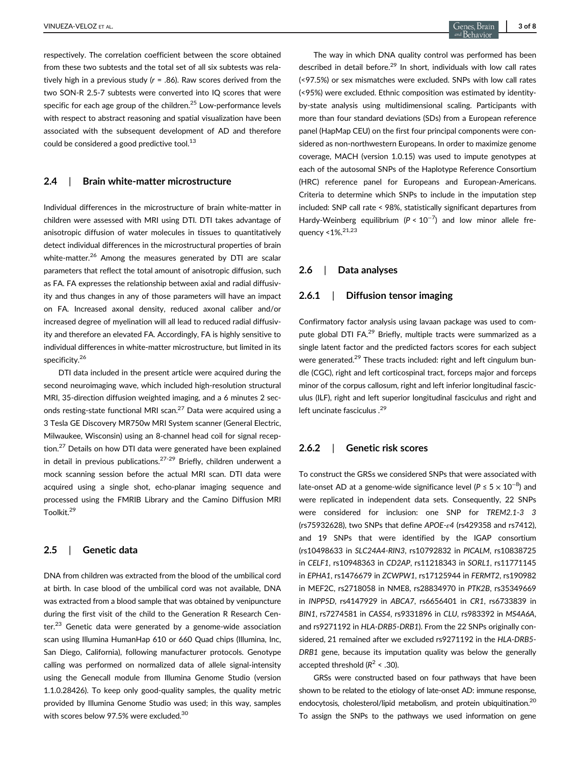respectively. The correlation coefficient between the score obtained from these two subtests and the total set of all six subtests was relatively high in a previous study ( $r = 0.86$ ). Raw scores derived from the two SON-R 2.5-7 subtests were converted into IQ scores that were specific for each age group of the children. $25$  Low-performance levels with respect to abstract reasoning and spatial visualization have been associated with the subsequent development of AD and therefore could be considered a good predictive tool.<sup>13</sup>

## 2.4 | Brain white-matter microstructure

Individual differences in the microstructure of brain white-matter in children were assessed with MRI using DTI. DTI takes advantage of anisotropic diffusion of water molecules in tissues to quantitatively detect individual differences in the microstructural properties of brain white-matter.<sup>26</sup> Among the measures generated by DTI are scalar parameters that reflect the total amount of anisotropic diffusion, such as FA. FA expresses the relationship between axial and radial diffusivity and thus changes in any of those parameters will have an impact on FA. Increased axonal density, reduced axonal caliber and/or increased degree of myelination will all lead to reduced radial diffusivity and therefore an elevated FA. Accordingly, FA is highly sensitive to individual differences in white-matter microstructure, but limited in its specificity.26

DTI data included in the present article were acquired during the second neuroimaging wave, which included high-resolution structural MRI, 35-direction diffusion weighted imaging, and a 6 minutes 2 seconds resting-state functional MRI scan.27 Data were acquired using a 3 Tesla GE Discovery MR750w MRI System scanner (General Electric, Milwaukee, Wisconsin) using an 8-channel head coil for signal reception.27 Details on how DTI data were generated have been explained in detail in previous publications. $27-29$  Briefly, children underwent a mock scanning session before the actual MRI scan. DTI data were acquired using a single shot, echo-planar imaging sequence and processed using the FMRIB Library and the Camino Diffusion MRI Toolkit.29

## 2.5 | Genetic data

DNA from children was extracted from the blood of the umbilical cord at birth. In case blood of the umbilical cord was not available, DNA was extracted from a blood sample that was obtained by venipuncture during the first visit of the child to the Generation R Research Center. $23$  Genetic data were generated by a genome-wide association scan using Illumina HumanHap 610 or 660 Quad chips (Illumina, Inc, San Diego, California), following manufacturer protocols. Genotype calling was performed on normalized data of allele signal-intensity using the Genecall module from Illumina Genome Studio (version 1.1.0.28426). To keep only good-quality samples, the quality metric provided by Illumina Genome Studio was used; in this way, samples with scores below 97.5% were excluded.<sup>30</sup>

The way in which DNA quality control was performed has been described in detail before. $^{29}$  In short, individuals with low call rates (<97.5%) or sex mismatches were excluded. SNPs with low call rates (<95%) were excluded. Ethnic composition was estimated by identityby-state analysis using multidimensional scaling. Participants with more than four standard deviations (SDs) from a European reference panel (HapMap CEU) on the first four principal components were considered as non-northwestern Europeans. In order to maximize genome coverage, MACH (version 1.0.15) was used to impute genotypes at each of the autosomal SNPs of the Haplotype Reference Consortium (HRC) reference panel for Europeans and European-Americans. Criteria to determine which SNPs to include in the imputation step included: SNP call rate < 98%, statistically significant departures from Hardy-Weinberg equilibrium ( $P < 10^{-7}$ ) and low minor allele frequency  $<$  1%.<sup>21,23</sup>

#### 2.6 | Data analyses

## 2.6.1 | Diffusion tensor imaging

Confirmatory factor analysis using lavaan package was used to compute global DTI FA.<sup>29</sup> Briefly, multiple tracts were summarized as a single latent factor and the predicted factors scores for each subject were generated.<sup>29</sup> These tracts included: right and left cingulum bundle (CGC), right and left corticospinal tract, forceps major and forceps minor of the corpus callosum, right and left inferior longitudinal fasciculus (ILF), right and left superior longitudinal fasciculus and right and left uncinate fasciculus .<sup>29</sup>

## 2.6.2 | Genetic risk scores

To construct the GRSs we considered SNPs that were associated with late-onset AD at a genome-wide significance level ( $P \le 5 \times 10^{-8}$ ) and were replicated in independent data sets. Consequently, 22 SNPs were considered for inclusion: one SNP for TREM2.1-3 3 (rs75932628), two SNPs that define APOE- $\varepsilon$ 4 (rs429358 and rs7412), and 19 SNPs that were identified by the IGAP consortium (rs10498633 in SLC24A4-RIN3, rs10792832 in PICALM, rs10838725 in CELF1, rs10948363 in CD2AP, rs11218343 in SORL1, rs11771145 in EPHA1, rs1476679 in ZCWPW1, rs17125944 in FERMT2, rs190982 in MEF2C, rs2718058 in NME8, rs28834970 in PTK2B, rs35349669 in INPP5D, rs4147929 in ABCA7, rs6656401 in CR1, rs6733839 in BIN1, rs7274581 in CASS4, rs9331896 in CLU, rs983392 in MS4A6A, and rs9271192 in HLA-DRB5-DRB1). From the 22 SNPs originally considered, 21 remained after we excluded rs9271192 in the HLA-DRB5- DRB1 gene, because its imputation quality was below the generally accepted threshold ( $R^2$  < .30).

GRSs were constructed based on four pathways that have been shown to be related to the etiology of late-onset AD: immune response, endocytosis, cholesterol/lipid metabolism, and protein ubiquitination.<sup>20</sup> To assign the SNPs to the pathways we used information on gene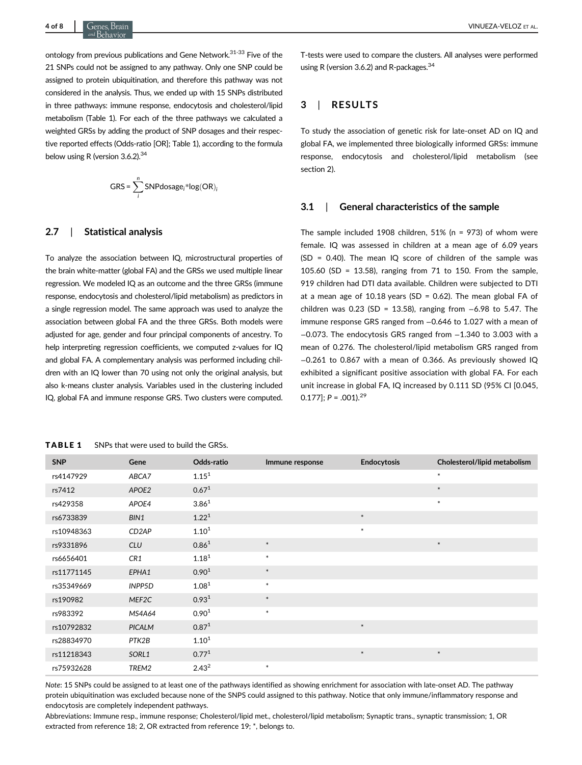ontology from previous publications and Gene Network.<sup>31-33</sup> Five of the 21 SNPs could not be assigned to any pathway. Only one SNP could be assigned to protein ubiquitination, and therefore this pathway was not considered in the analysis. Thus, we ended up with 15 SNPs distributed in three pathways: immune response, endocytosis and cholesterol/lipid metabolism (Table 1). For each of the three pathways we calculated a weighted GRSs by adding the product of SNP dosages and their respective reported effects (Odds-ratio [OR]; Table 1), according to the formula below using R (version  $3.6.2$ ).<sup>34</sup>

$$
GRS = \sum_{i}^{n} SNPdosage_i * log(OR)_i
$$

## 2.7 | Statistical analysis

To analyze the association between IQ, microstructural properties of the brain white-matter (global FA) and the GRSs we used multiple linear regression. We modeled IQ as an outcome and the three GRSs (immune response, endocytosis and cholesterol/lipid metabolism) as predictors in a single regression model. The same approach was used to analyze the association between global FA and the three GRSs. Both models were adjusted for age, gender and four principal components of ancestry. To help interpreting regression coefficients, we computed z-values for IQ and global FA. A complementary analysis was performed including children with an IQ lower than 70 using not only the original analysis, but also k-means cluster analysis. Variables used in the clustering included IQ, global FA and immune response GRS. Two clusters were computed.

TABLE 1 SNPs that were used to build the GRSs.

T-tests were used to compare the clusters. All analyses were performed using R (version 3.6.2) and R-packages.  $34$ 

## 3 | RESULTS

To study the association of genetic risk for late-onset AD on IQ and global FA, we implemented three biologically informed GRSs: immune response, endocytosis and cholesterol/lipid metabolism (see section 2).

#### 3.1 | General characteristics of the sample

The sample included 1908 children, 51% (n = 973) of whom were female. IQ was assessed in children at a mean age of 6.09 years (SD = 0.40). The mean IQ score of children of the sample was 105.60 (SD = 13.58), ranging from 71 to 150. From the sample, 919 children had DTI data available. Children were subjected to DTI at a mean age of 10.18 years (SD = 0.62). The mean global FA of children was 0.23 (SD = 13.58), ranging from −6.98 to 5.47. The immune response GRS ranged from −0.646 to 1.027 with a mean of −0.073. The endocytosis GRS ranged from −1.340 to 3.003 with a mean of 0.276. The cholesterol/lipid metabolism GRS ranged from −0.261 to 0.867 with a mean of 0.366. As previously showed IQ exhibited a significant positive association with global FA. For each unit increase in global FA, IQ increased by 0.111 SD (95% CI [0.045, 0.177];  $P = .001$ .<sup>29</sup>

| <b>SNP</b> | Gene               | Odds-ratio        | Immune response | <b>Endocytosis</b> | Cholesterol/lipid metabolism |
|------------|--------------------|-------------------|-----------------|--------------------|------------------------------|
| rs4147929  | ABCA7              | 1.15 <sup>1</sup> |                 |                    | $\ast$                       |
| rs7412     | APOE2              | 0.67 <sup>1</sup> |                 |                    | $\ast$                       |
| rs429358   | APOE4              | 3.86 <sup>1</sup> |                 |                    | $\ast$                       |
| rs6733839  | BIN1               | 1.22 <sup>1</sup> |                 | $\ast$             |                              |
| rs10948363 | CD <sub>2</sub> AP | 1.10 <sup>1</sup> |                 | $\ast$             |                              |
| rs9331896  | <b>CLU</b>         | 0.86 <sup>1</sup> | $\ast$          |                    | $\ast$                       |
| rs6656401  | CR1                | $1.18^{1}$        | $\ast$          |                    |                              |
| rs11771145 | EPHA1              | 0.90 <sup>1</sup> | $\ast$          |                    |                              |
| rs35349669 | INPP5D             | 1.08 <sup>1</sup> | $\ast$          |                    |                              |
| rs190982   | MEF2C              | 0.93 <sup>1</sup> | $\ast$          |                    |                              |
| rs983392   | MS4A64             | 0.90 <sup>1</sup> | $\ast$          |                    |                              |
| rs10792832 | <b>PICALM</b>      | 0.87 <sup>1</sup> |                 | $\ast$             |                              |
| rs28834970 | PTK2B              | $1.10^{1}$        |                 |                    |                              |
| rs11218343 | SORL1              | 0.77 <sup>1</sup> |                 | $\ast$             | $\ast$                       |
| rs75932628 | TREM2              | $2.43^2$          | $\ast$          |                    |                              |

Note: 15 SNPs could be assigned to at least one of the pathways identified as showing enrichment for association with late-onset AD. The pathway protein ubiquitination was excluded because none of the SNPS could assigned to this pathway. Notice that only immune/inflammatory response and endocytosis are completely independent pathways.

Abbreviations: Immune resp., immune response; Cholesterol/lipid met., cholesterol/lipid metabolism; Synaptic trans., synaptic transmission; 1, OR extracted from reference 18; 2, OR extracted from reference 19; \*, belongs to.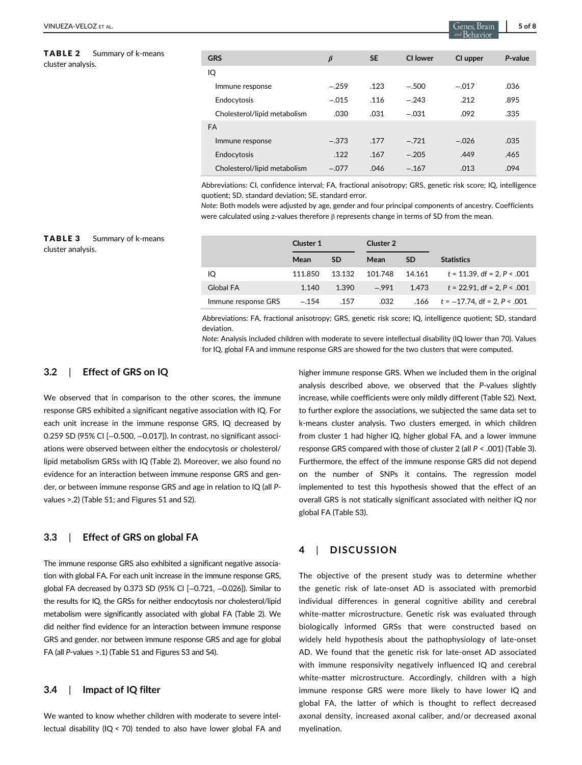#### TABLE 2 Summary of k-means cluster analysis.

| <b>GRS</b>                   | $\beta$ | <b>SE</b> | CI lower | CI upper | P-value |
|------------------------------|---------|-----------|----------|----------|---------|
| IQ                           |         |           |          |          |         |
| Immune response              | $-.259$ | .123      | $-.500$  | $-.017$  | .036    |
| Endocytosis                  | $-.015$ | .116      | $-.243$  | .212     | .895    |
| Cholesterol/lipid metabolism | .030    | .031      | $-.031$  | .092     | .335    |
| <b>FA</b>                    |         |           |          |          |         |
| Immune response              | $-.373$ | .177      | $-.721$  | $-.026$  | .035    |
| Endocytosis                  | .122    | .167      | $-.205$  | .449     | .465    |
| Cholesterol/lipid metabolism | $-.077$ | .046      | $-.167$  | .013     | .094    |

Abbreviations: CI, confidence interval; FA, fractional anisotropy; GRS, genetic risk score; IQ, intelligence quotient; SD, standard deviation; SE, standard error.

Note: Both models were adjusted by age, gender and four principal components of ancestry. Coefficients were calculated using z-values therefore  $β$  represents change in terms of SD from the mean.

#### TABLE 3 Summary of k-means cluster analysis.

|                     | Cluster 1 |           | Cluster 2 |           |                                      |  |
|---------------------|-----------|-----------|-----------|-----------|--------------------------------------|--|
|                     | Mean      | <b>SD</b> | Mean      | <b>SD</b> | <b>Statistics</b>                    |  |
| IQ                  | 111.850   | 13.132    | 101.748   | 14.161    | $t = 11.39$ , df = 2, P < .001       |  |
| <b>Global FA</b>    | 1.140     | 1.390     | -.991     | 1.473     | $t = 22.91$ , df = 2, P < .001       |  |
| Immune response GRS | $-.154$   | .157      | .032      |           | .166 $t = -17.74$ , df = 2, P < .001 |  |

Abbreviations: FA, fractional anisotropy; GRS, genetic risk score; IQ, intelligence quotient; SD, standard deviation.

Note: Analysis included children with moderate to severe intellectual disability (IQ lower than 70). Values for IQ, global FA and immune response GRS are showed for the two clusters that were computed.

# 3.2 | Effect of GRS on IQ

We observed that in comparison to the other scores, the immune response GRS exhibited a significant negative association with IQ. For each unit increase in the immune response GRS, IQ decreased by 0.259 SD (95% CI [−0.500, −0.017]). In contrast, no significant associations were observed between either the endocytosis or cholesterol/ lipid metabolism GRSs with IQ (Table 2). Moreover, we also found no evidence for an interaction between immune response GRS and gender, or between immune response GRS and age in relation to IQ (all Pvalues >.2) (Table S1; and Figures S1 and S2).

#### 3.3 | Effect of GRS on global FA

The immune response GRS also exhibited a significant negative association with global FA. For each unit increase in the immune response GRS, global FA decreased by 0.373 SD (95% CI [−0.721, −0.026]). Similar to the results for IQ, the GRSs for neither endocytosis nor cholesterol/lipid metabolism were significantly associated with global FA (Table 2). We did neither find evidence for an interaction between immune response GRS and gender, nor between immune response GRS and age for global FA (all P-values >.1) (Table S1 and Figures S3 and S4).

## 3.4 | Impact of IQ filter

We wanted to know whether children with moderate to severe intellectual disability (IQ < 70) tended to also have lower global FA and higher immune response GRS. When we included them in the original analysis described above, we observed that the P-values slightly increase, while coefficients were only mildly different (Table S2). Next, to further explore the associations, we subjected the same data set to k-means cluster analysis. Two clusters emerged, in which children from cluster 1 had higher IQ, higher global FA, and a lower immune response GRS compared with those of cluster 2 (all P < .001) (Table 3). Furthermore, the effect of the immune response GRS did not depend on the number of SNPs it contains. The regression model implemented to test this hypothesis showed that the effect of an overall GRS is not statically significant associated with neither IQ nor global FA (Table S3).

# 4 | DISCUSSION

The objective of the present study was to determine whether the genetic risk of late-onset AD is associated with premorbid individual differences in general cognitive ability and cerebral white-matter microstructure. Genetic risk was evaluated through biologically informed GRSs that were constructed based on widely held hypothesis about the pathophysiology of late-onset AD. We found that the genetic risk for late-onset AD associated with immune responsivity negatively influenced IQ and cerebral white-matter microstructure. Accordingly, children with a high immune response GRS were more likely to have lower IQ and global FA, the latter of which is thought to reflect decreased axonal density, increased axonal caliber, and/or decreased axonal myelination.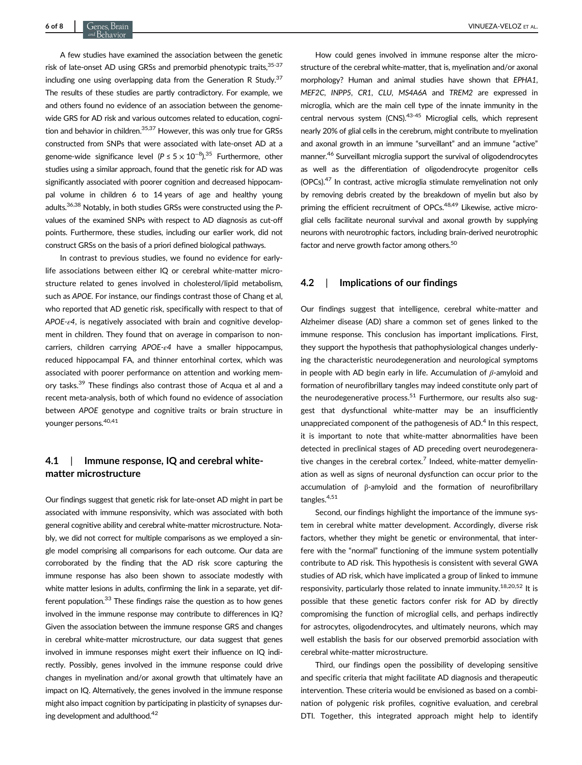A few studies have examined the association between the genetic risk of late-onset AD using GRSs and premorbid phenotypic traits,  $35-37$ including one using overlapping data from the Generation R Study.<sup>37</sup> The results of these studies are partly contradictory. For example, we and others found no evidence of an association between the genomewide GRS for AD risk and various outcomes related to education, cognition and behavior in children.<sup>35,37</sup> However, this was only true for GRSs constructed from SNPs that were associated with late-onset AD at a genome-wide significance level ( $P \le 5 \times 10^{-8}$ ).<sup>35</sup> Furthermore, other studies using a similar approach, found that the genetic risk for AD was significantly associated with poorer cognition and decreased hippocampal volume in children 6 to 14 years of age and healthy young adults.<sup>36,38</sup> Notably, in both studies GRSs were constructed using the Pvalues of the examined SNPs with respect to AD diagnosis as cut-off points. Furthermore, these studies, including our earlier work, did not construct GRSs on the basis of a priori defined biological pathways.

In contrast to previous studies, we found no evidence for earlylife associations between either IQ or cerebral white-matter microstructure related to genes involved in cholesterol/lipid metabolism, such as APOE. For instance, our findings contrast those of Chang et al, who reported that AD genetic risk, specifically with respect to that of  $APOE-*e*4$ , is negatively associated with brain and cognitive development in children. They found that on average in comparison to noncarriers, children carrying  $APOE-e4$  have a smaller hippocampus, reduced hippocampal FA, and thinner entorhinal cortex, which was associated with poorer performance on attention and working memory tasks.39 These findings also contrast those of Acqua et al and a recent meta-analysis, both of which found no evidence of association between APOE genotype and cognitive traits or brain structure in younger persons.40,41

# 4.1 | Immune response, IQ and cerebral whitematter microstructure

Our findings suggest that genetic risk for late-onset AD might in part be associated with immune responsivity, which was associated with both general cognitive ability and cerebral white-matter microstructure. Notably, we did not correct for multiple comparisons as we employed a single model comprising all comparisons for each outcome. Our data are corroborated by the finding that the AD risk score capturing the immune response has also been shown to associate modestly with white matter lesions in adults, confirming the link in a separate, yet different population. $33$  These findings raise the question as to how genes involved in the immune response may contribute to differences in IQ? Given the association between the immune response GRS and changes in cerebral white-matter microstructure, our data suggest that genes involved in immune responses might exert their influence on IQ indirectly. Possibly, genes involved in the immune response could drive changes in myelination and/or axonal growth that ultimately have an impact on IQ. Alternatively, the genes involved in the immune response might also impact cognition by participating in plasticity of synapses during development and adulthood.42

How could genes involved in immune response alter the microstructure of the cerebral white-matter, that is, myelination and/or axonal morphology? Human and animal studies have shown that EPHA1, MEF2C, INPP5, CR1, CLU, MS4A6A and TREM2 are expressed in microglia, which are the main cell type of the innate immunity in the central nervous system (CNS).<sup>43-45</sup> Microglial cells, which represent nearly 20% of glial cells in the cerebrum, might contribute to myelination and axonal growth in an immune "surveillant" and an immune "active" manner.<sup>46</sup> Surveillant microglia support the survival of oligodendrocytes as well as the differentiation of oligodendrocyte progenitor cells (OPCs).47 In contrast, active microglia stimulate remyelination not only by removing debris created by the breakdown of myelin but also by priming the efficient recruitment of OPCs.<sup>48,49</sup> Likewise, active microglial cells facilitate neuronal survival and axonal growth by supplying neurons with neurotrophic factors, including brain-derived neurotrophic factor and nerve growth factor among others.<sup>50</sup>

## 4.2 | Implications of our findings

Our findings suggest that intelligence, cerebral white-matter and Alzheimer disease (AD) share a common set of genes linked to the immune response. This conclusion has important implications. First, they support the hypothesis that pathophysiological changes underlying the characteristic neurodegeneration and neurological symptoms in people with AD begin early in life. Accumulation of  $\beta$ -amyloid and formation of neurofibrillary tangles may indeed constitute only part of the neurodegenerative process.<sup>51</sup> Furthermore, our results also suggest that dysfunctional white-matter may be an insufficiently unappreciated component of the pathogenesis of  $AD<sup>4</sup>$  In this respect. it is important to note that white-matter abnormalities have been detected in preclinical stages of AD preceding overt neurodegenerative changes in the cerebral cortex.<sup>7</sup> Indeed, white-matter demyelination as well as signs of neuronal dysfunction can occur prior to the accumulation of β-amyloid and the formation of neurofibrillary tangles.4,51

Second, our findings highlight the importance of the immune system in cerebral white matter development. Accordingly, diverse risk factors, whether they might be genetic or environmental, that interfere with the "normal" functioning of the immune system potentially contribute to AD risk. This hypothesis is consistent with several GWA studies of AD risk, which have implicated a group of linked to immune responsivity, particularly those related to innate immunity.<sup>18,20,52</sup> It is possible that these genetic factors confer risk for AD by directly compromising the function of microglial cells, and perhaps indirectly for astrocytes, oligodendrocytes, and ultimately neurons, which may well establish the basis for our observed premorbid association with cerebral white-matter microstructure.

Third, our findings open the possibility of developing sensitive and specific criteria that might facilitate AD diagnosis and therapeutic intervention. These criteria would be envisioned as based on a combination of polygenic risk profiles, cognitive evaluation, and cerebral DTI. Together, this integrated approach might help to identify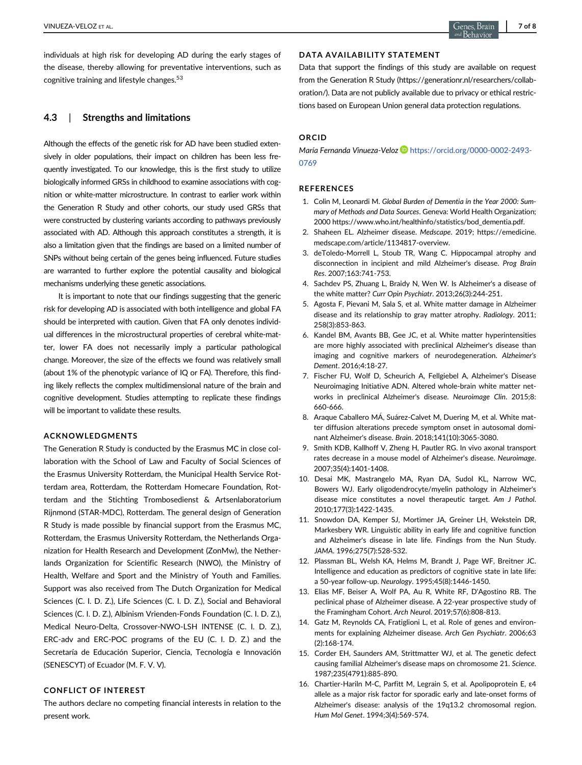individuals at high risk for developing AD during the early stages of the disease, thereby allowing for preventative interventions, such as cognitive training and lifestyle changes.<sup>53</sup>

# 4.3 | Strengths and limitations

Although the effects of the genetic risk for AD have been studied extensively in older populations, their impact on children has been less frequently investigated. To our knowledge, this is the first study to utilize biologically informed GRSs in childhood to examine associations with cognition or white-matter microstructure. In contrast to earlier work within the Generation R Study and other cohorts, our study used GRSs that were constructed by clustering variants according to pathways previously associated with AD. Although this approach constitutes a strength, it is also a limitation given that the findings are based on a limited number of SNPs without being certain of the genes being influenced. Future studies are warranted to further explore the potential causality and biological mechanisms underlying these genetic associations.

It is important to note that our findings suggesting that the generic risk for developing AD is associated with both intelligence and global FA should be interpreted with caution. Given that FA only denotes individual differences in the microstructural properties of cerebral white-matter, lower FA does not necessarily imply a particular pathological change. Moreover, the size of the effects we found was relatively small (about 1% of the phenotypic variance of IQ or FA). Therefore, this finding likely reflects the complex multidimensional nature of the brain and cognitive development. Studies attempting to replicate these findings will be important to validate these results.

## ACKNOWLEDGMENTS

The Generation R Study is conducted by the Erasmus MC in close collaboration with the School of Law and Faculty of Social Sciences of the Erasmus University Rotterdam, the Municipal Health Service Rotterdam area, Rotterdam, the Rotterdam Homecare Foundation, Rotterdam and the Stichting Trombosedienst & Artsenlaboratorium Rijnmond (STAR-MDC), Rotterdam. The general design of Generation R Study is made possible by financial support from the Erasmus MC, Rotterdam, the Erasmus University Rotterdam, the Netherlands Organization for Health Research and Development (ZonMw), the Netherlands Organization for Scientific Research (NWO), the Ministry of Health, Welfare and Sport and the Ministry of Youth and Families. Support was also received from The Dutch Organization for Medical Sciences (C. I. D. Z.), Life Sciences (C. I. D. Z.), Social and Behavioral Sciences (C. I. D. Z.), Albinism Vrienden-Fonds Foundation (C. I. D. Z.), Medical Neuro-Delta, Crossover-NWO-LSH INTENSE (C. I. D. Z.), ERC-adv and ERC-POC programs of the EU (C. I. D. Z.) and the Secretaría de Educación Superior, Ciencia, Tecnología e Innovación (SENESCYT) of Ecuador (M. F. V. V).

#### CONFLICT OF INTEREST

The authors declare no competing financial interests in relation to the present work.

#### DATA AVAILABILITY STATEMENT

Data that support the findings of this study are available on request from the Generation R Study (https://generationr.nl/researchers/collaboration/). Data are not publicly available due to privacy or ethical restrictions based on European Union general data protection regulations.

## ORCID

María Fernanda Vinueza-Veloz D[https://orcid.org/0000-0002-2493-](https://orcid.org/0000-0002-2493-0769) [0769](https://orcid.org/0000-0002-2493-0769)

#### REFERENCES

- 1. Colin M, Leonardi M. Global Burden of Dementia in the Year 2000: Summary of Methods and Data Sources. Geneva: World Health Organization; 2000 https://www.who.int/healthinfo/statistics/bod\_dementia.pdf.
- 2. Shaheen EL. Alzheimer disease. Medscape. 2019; [https://emedicine.](https://emedicine.medscape.com/article/1134817-overview) [medscape.com/article/1134817-overview.](https://emedicine.medscape.com/article/1134817-overview)
- 3. deToledo-Morrell L, Stoub TR, Wang C. Hippocampal atrophy and disconnection in incipient and mild Alzheimer's disease. Prog Brain Res. 2007;163:741-753.
- 4. Sachdev PS, Zhuang L, Braidy N, Wen W. Is Alzheimer's a disease of the white matter? Curr Opin Psychiatr. 2013;26(3):244-251.
- 5. Agosta F, Pievani M, Sala S, et al. White matter damage in Alzheimer disease and its relationship to gray matter atrophy. Radiology. 2011; 258(3):853-863.
- 6. Kandel BM, Avants BB, Gee JC, et al. White matter hyperintensities are more highly associated with preclinical Alzheimer's disease than imaging and cognitive markers of neurodegeneration. Alzheimer's Dement. 2016;4:18-27.
- 7. Fischer FU, Wolf D, Scheurich A, Fellgiebel A, Alzheimer's Disease Neuroimaging Initiative ADN. Altered whole-brain white matter networks in preclinical Alzheimer's disease. Neuroimage Clin. 2015;8: 660-666.
- 8. Araque Caballero MÁ, Suárez-Calvet M, Duering M, et al. White matter diffusion alterations precede symptom onset in autosomal dominant Alzheimer's disease. Brain. 2018;141(10):3065-3080.
- 9. Smith KDB, Kallhoff V, Zheng H, Pautler RG. In vivo axonal transport rates decrease in a mouse model of Alzheimer's disease. Neuroimage. 2007;35(4):1401-1408.
- 10. Desai MK, Mastrangelo MA, Ryan DA, Sudol KL, Narrow WC, Bowers WJ. Early oligodendrocyte/myelin pathology in Alzheimer's disease mice constitutes a novel therapeutic target. Am J Pathol. 2010;177(3):1422-1435.
- 11. Snowdon DA, Kemper SJ, Mortimer JA, Greiner LH, Wekstein DR, Markesbery WR. Linguistic ability in early life and cognitive function and Alzheimer's disease in late life. Findings from the Nun Study. JAMA. 1996;275(7):528-532.
- 12. Plassman BL, Welsh KA, Helms M, Brandt J, Page WF, Breitner JC. Intelligence and education as predictors of cognitive state in late life: a 50-year follow-up. Neurology. 1995;45(8):1446-1450.
- 13. Elias MF, Beiser A, Wolf PA, Au R, White RF, D'Agostino RB. The peclinical phase of Alzheimer disease. A 22-year prospective study of the Framingham Cohort. Arch Neurol. 2019;57(6):808-813.
- 14. Gatz M, Reynolds CA, Fratiglioni L, et al. Role of genes and environments for explaining Alzheimer disease. Arch Gen Psychiatr. 2006;63 (2):168-174.
- 15. Corder EH, Saunders AM, Strittmatter WJ, et al. The genetic defect causing familial Alzheimer's disease maps on chromosome 21. Science. 1987;235(4791):885-890.
- 16. Chartier-Hariln M-C, Parfitt M, Legrain S, et al. Apolipoprotein E, ɛ4 allele as a major risk factor for sporadic early and late-onset forms of Alzheimer's disease: analysis of the 19q13.2 chromosomal region. Hum Mol Genet. 1994;3(4):569-574.